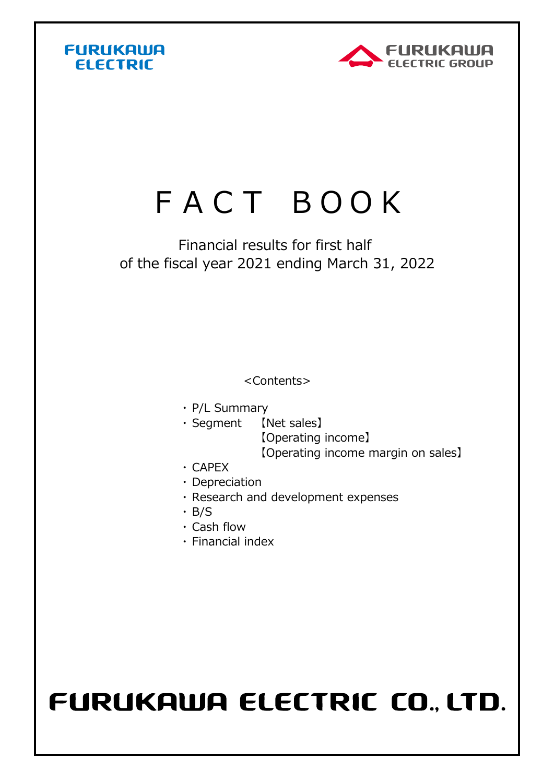



## FACT BOOK

## Financial results for first half of the fiscal year 2021 ending March 31, 2022

<Contents>

- ・ P/L Summary
- ・ Segment 【Net sales】 【Net sales】 【Operating income】 【Operating income margin on sales】
- ・ CAPEX
- ・ Depreciation
- ・ Research and development expenses
- ・ B/S
- ・ Cash flow
- ・ Financial index

## FURUKAWA ELECTRIC CO., LTD.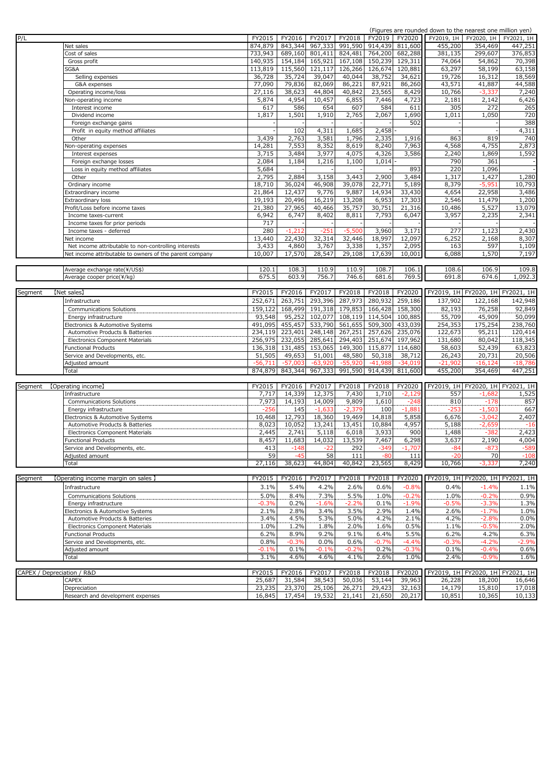| (Figures are rounded down to the nearest one million yen) |  |  |  |  |  |
|-----------------------------------------------------------|--|--|--|--|--|
|                                                           |  |  |  |  |  |

|         |                                                         |           |           |           |           |           |           | (Figures are rounded down to the nearest one million yen) |                                      |                                  |
|---------|---------------------------------------------------------|-----------|-----------|-----------|-----------|-----------|-----------|-----------------------------------------------------------|--------------------------------------|----------------------------------|
| P/L     |                                                         | FY2015    | FY2016    | FY2017    | FY2018    | FY2019    | FY2020    |                                                           | FY2019, 1H   FY2020, 1H   FY2021, 1H |                                  |
|         | Net sales                                               | 874,879   | 843,344   | 967,333   | 991,590   | 914,439   | 811,600   | 455,200                                                   | 354,469                              | 447,251                          |
|         | Cost of sales                                           | 733,943   | 689,160   | 801,411   | 824,481   | 764,200   | 682,288   | 381,135                                                   | 299,607                              | 376,853                          |
|         | Gross profit                                            | 140,935   | 154,184   | 165,921   | 167,108   | 150,239   | 129,311   | 74,064                                                    | 54,862                               | 70,398                           |
|         |                                                         |           |           |           |           |           |           |                                                           |                                      |                                  |
|         | SG&A                                                    | 113,819   | 115,560   | 121,117   | 126,266   | 126,674   | 120,881   | 63,297                                                    | 58,199                               | 63,158                           |
|         | Selling expenses                                        | 36,728    | 35,724    | 39,047    | 40,044    | 38,752    | 34,621    | 19,726                                                    | 16,312                               | 18,569                           |
|         | G&A expenses                                            | 77,090    | 79,836    | 82,069    | 86,221    | 87,921    | 86,260    | 43,571                                                    | 41,887                               | 44,588                           |
|         | Operating income/loss                                   | 27,116    | 38,623    | 44,804    | 40,842    | 23,565    | 8,429     | 10,766                                                    | $-3,337$                             | 7,240                            |
|         | Non-operating income                                    | 5,874     | 4,954     | 10,457    | 6,855     | 7,446     | 4,723     | 2,181                                                     | 2,142                                | 6,426                            |
|         | Interest income                                         | 617       | 586       | 654       | 607       | 584       | 611       | 305                                                       | 272                                  | 265                              |
|         | Dividend income                                         | 1,817     | 1,501     | 1,910     | 2,765     | 2,067     | 1,690     | 1,011                                                     | 1,050                                | 720                              |
|         | Foreign exchange gains                                  |           |           |           |           |           | 502       |                                                           |                                      | 388                              |
|         |                                                         |           |           |           |           |           |           |                                                           |                                      |                                  |
|         | Profit in equity method affiliates                      |           | 102       | 4,311     | 1,685     | 2,458     |           |                                                           |                                      | 4,311                            |
|         | Other                                                   | 3,439     | 2,763     | 3,581     | 1,796     | 2,335     | 1,916     | 863                                                       | 819                                  | 740                              |
|         | Von-operating expenses                                  | 14,281    | 7,553     | 8,352     | 8,619     | 8,240     | 7,963     | 4,568                                                     | 4,755                                | 2,873                            |
|         | Interest expenses                                       | 3,715     | 3,484     | 3,977     | 4,075     | 4,326     | 3,586     | 2,240                                                     | 1,869                                | 1,592                            |
|         | Foreign exchange losses                                 | 2,084     | 1,184     | 1,216     | 1,100     | 1,014     |           | 790                                                       | 361                                  |                                  |
|         | Loss in equity method affiliates                        | 5,684     |           |           |           |           | 893       | 220                                                       | 1,096                                |                                  |
|         | Other                                                   | 2,795     | 2,884     | 3,158     | 3,443     | 2,900     | 3,484     | 1,317                                                     | 1,427                                | 1,280                            |
|         | Ordinary income                                         | 18,710    | 36,024    | 46,908    | 39,078    | 22,771    | 5,189     | 8,379                                                     | $-5,95$                              | 10,793                           |
|         |                                                         |           |           |           |           |           |           |                                                           |                                      |                                  |
|         | Extraordinary income                                    | 21,864    | 12,437    | 9,776     | 9,887     | 14,934    | 33,430    | 4,654                                                     | 22,958                               | 3,486                            |
|         | Extraordinary loss                                      | 19,193    | 20,496    | 16,219    | 13,208    | 6,953     | 17,303    | 2,546                                                     | 11,479                               | 1,200                            |
|         | Profit/Loss before income taxes                         | 21,380    | 27,965    | 40,466    | 35,757    | 30,751    | 21,316    | 10,486                                                    | 5,527                                | 13,079                           |
|         | Income taxes-current                                    | 6,942     | 6,747     | 8,402     | 8,811     | 7,793     | 6,047     | 3,957                                                     | 2,235                                | 2,341                            |
|         | Income taxes for prior periods                          | 717       |           |           |           |           |           |                                                           |                                      |                                  |
|         | Income taxes - deferred                                 | 280       | $-1,212$  | $-251$    | $-5,500$  | 3,960     | 3,171     | 277                                                       | 1,123                                | 2,430                            |
|         | Net income                                              | 13,440    | 22,430    | 32,314    | 32,446    | 18,997    | 12,097    | 6,252                                                     | 2,168                                | 8,307                            |
|         | Net income attributable to non-controlling interests    | 3,433     | 4,860     | 3,767     | 3,338     | 1,357     | 2,095     | 163                                                       | 597                                  | 1,109                            |
|         |                                                         |           |           |           |           |           |           |                                                           |                                      |                                  |
|         | Net income attributable to owners of the parent company | 10,007    | 17,570    | 28,547    | 29,108    | 17,639    | 10,001    | 6,088                                                     | 1,570                                | 7,197                            |
|         |                                                         |           |           |           |           |           |           |                                                           |                                      |                                  |
|         | Average exchange rate(¥/US\$)                           | 120.1     | 108.3     | 110.9     | 110.9     | 108.7     | 106.1     | 108.6                                                     | 106.9                                | 109.8                            |
|         | Average cooper price(¥/kg)                              | 675.5     | 603.9     | 756.7     | 746.6     | 681.6     | 769.5     | 691.8                                                     | 674.6                                | 1,092.3                          |
|         |                                                         |           |           |           |           |           |           |                                                           |                                      |                                  |
| Segment | [Net sales]                                             | FY2015    | FY2016    | FY2017    | FY2018    | FY2018    | FY2020    |                                                           |                                      | FY2019, 1H FY2020, 1H FY2021, 1H |
|         | Infrastructure                                          | 252,671   | 263,751   | 293,396   | 287,973   | 280,932   | 259,186   | 137,902                                                   | 122,168                              | 142,948                          |
|         |                                                         |           |           |           |           |           |           |                                                           |                                      |                                  |
|         | Communications Solutions                                | 159,122   | 168,499   | 191,318   | 179,853   | 166,428   | 158,300   | 82,193                                                    | 76,258                               | 92,849                           |
|         | Energy infrastructure                                   | 93,548    | 95,252    | 102,077   | 108,119   | 114,504   | 100,885   | 55,709                                                    | 45,909                               | 50,099                           |
|         | Electronics & Automotive Systems                        | 491,095   | 455,457   | 533,790   | 561,655   | 509,300   | 433,039   | 254,353                                                   | 175,254                              | 238,760                          |
|         | Automotive Products & Batteries                         | 234,119   | 223,401   | 248,148   | 267,251   | 257,626   | 235,076   | 122,673                                                   | 95,211                               | 120,414                          |
|         | Electronics Component Materials                         | 256,975   | 232,055   | 285,641   | 294,403   | 251,674   | 197,962   | 131,680                                                   | 80,042                               | 118,345                          |
|         | Functional Products                                     | 136,318   | 131,485   | 153,065   | 149,300   | 115,877   | 114,680   | 58,603                                                    | 52,439                               | 63,823                           |
|         |                                                         | 51,505    | 49,653    | 51,001    | 48,580    | 50,318    | 38,712    | 26,243                                                    | 20,731                               | 20,506                           |
|         | Service and Developments, etc.                          |           |           |           |           |           |           |                                                           |                                      |                                  |
|         | Adjusted amount                                         | $-56.711$ | $-57,003$ | $-63,920$ | $-55,920$ | $-41.988$ | $-34.019$ | $-21.902$                                                 | $-16,124$                            | $-18,786$                        |
|         | Total                                                   | 874,879   | 843,344   | 967,333   | 991,590   | 914,439   | 811,600   | 455,200                                                   | 354,469                              | 447,251                          |
|         |                                                         |           |           |           |           |           |           |                                                           |                                      |                                  |
| Segment | [Operating income]                                      | FY2015    | FY2016    | FY2017    | FY2018    | FY2018    | FY2020    |                                                           |                                      | FY2019, 1H FY2020, 1H FY2021, 1H |
|         | Infrastructure                                          | 7,717     | 14,339    | 12,375    | 7,430     | 1,710     | $-2,129$  | 557                                                       | $-1,682$                             | 1,525                            |
|         | Communications Solutions                                | 7,973     | 14,193    | 14,009    | 9,809     | 1,610     | $-248$    | 810                                                       | $-178$                               | 857                              |
|         | Energy infrastructure                                   | $-256$    | 145       | $-1,633$  | $-2,379$  | 100       | $-1,88$   | -253                                                      | $-1,50.3$                            | 667                              |
|         | Electronics & Automotive Systems                        | 10,468    | 12,793    | 18,360    | 19,469    | 14,818    | 5,858     | 6,676                                                     | $-3,042$                             |                                  |
|         |                                                         |           |           |           |           |           |           |                                                           |                                      | 2,407                            |
|         | Automotive Products & Batteries                         | 8,023     | 10,052    | 13,241    | 13,451    | 10,884    | 4,957     | 5,188                                                     | -2,659                               | $-16$                            |
|         | Electronics Component Materials                         | 2,445     | 2,741     | 5,118     | 6,018     | 3,933     | 900       | 1,488                                                     | $-38$                                | 2,423                            |
|         | <b>Functional Products</b>                              | 8,457     | 11,683    | 14,032    | 13,539    | 7,467     | 6,298     | 3,637                                                     | 2,190                                | 4,004                            |
|         | Service and Developments, etc.                          | 413       | -148      |           | 292       | 549-      | -1,70.    |                                                           | ·873                                 | -589                             |
|         | Adjusted amount                                         | 59        | $-45$     | 58        | 111       | $-80$     | 111       | $-20$                                                     | 70                                   | $-108$                           |
|         | Total                                                   | 27,116    | 38,623    | 44,804    | 40,842    | 23,565    | 8,429     | 10,766                                                    | -3,337                               | 7,240                            |
|         |                                                         |           |           |           |           |           |           |                                                           |                                      |                                  |
| Segment | 【Operating income margin on sales 】                     | FY2015    | FY2016    | FY2017    | FY2018    | FY2018    | FY2020    |                                                           |                                      | FY2019, 1H FY2020, 1H FY2021, 1H |
|         |                                                         |           |           |           |           |           |           |                                                           |                                      |                                  |
|         | Infrastructure                                          | 3.1%      | 5.4%      | 4.2%      | 2.6%      | 0.6%      | $-0.8%$   | 0.4%                                                      | $-1.4%$                              | 1.1%                             |
|         | Communications Solutions                                | 5.0%      | 8.4%      | 7.3%      | 5.5%      | 1.0%      | $-0.2%$   | 1.0%                                                      | $-0.2%$                              | 0.9%                             |
|         | Energy infrastructure                                   | $-0.3%$   | 0.2%      | $-1.6%$   | -2.2%     | 0.1%      | $-1.9%$   | $-0.5%$                                                   | $-3.3%$                              | 1.3%                             |
|         | Electronics & Automotive Systems                        | 2.1%      | 2.8%      | 3.4%      | 3.5%      | 2.9%      | 1.4%      | 2.6%                                                      | $-1.7%$                              | 1.0%                             |
|         | Automotive Products & Batteries                         | 3.4%      | 4.5%      | 5.3%      | 5.0%      | 4.2%      | 2.1%      | 4.2%                                                      | $-2.8%$                              | 0.0%                             |
|         | Electronics Component Materials                         | 1.0%      | 1.2%      | 1.8%      | 2.0%      | 1.6%      | 0.5%      | 1.1%                                                      | $-0.5%$                              | 2.0%                             |
|         |                                                         | 6.2%      | 8.9%      | 9.2%      | 9.1%      | 6.4%      | 5.5%      | 6.2%                                                      | 4.2%                                 |                                  |
|         | Functional Products                                     |           |           |           |           |           |           |                                                           |                                      | 6.3%                             |
|         | Service and Developments, etc.                          | 0.8%      | $-0.3%$   | 0.0%      | 0.6%      | $-0.7%$   | $-4.49$   | $-0.3%$                                                   | $-4.2%$                              | $-2.9%$                          |
|         | Adjusted amount                                         | $-0.1%$   | 0.1%      | $-0.1%$   | $-0.2%$   | 0.2%      | $-0.3%$   | 0.1%                                                      | $-0.4%$                              | 0.6%                             |
|         | Total                                                   | 3.1%      | 4.6%      | 4.6%      | 4.1%      | 2.6%      | 1.0%      | 2.4%                                                      | $-0.9%$                              | 1.6%                             |
|         |                                                         |           |           |           |           |           |           |                                                           |                                      |                                  |
|         | CAPEX / Depreciation / R&D                              | FY2015    | FY2016    | FY2017    | FY2018    | FY2018    | FY2020    |                                                           | FY2019, 1H FY2020, 1H FY2021, 1H     |                                  |
|         | CAPEX                                                   | 25,687    | 31,584    | 38,543    | 50,036    | 53,144    | 39,963    | 26,228                                                    | 18,200                               | 16,646                           |
|         | Depreciation                                            | 23,235    | 23,370    | 25,106    | 26,271    | 29,423    | 32,163    | 14,179                                                    | 15,810                               | 17,018                           |
|         | Research and development expenses                       | 16,845    | 17,454    | 19,532    | 21,141    | 21,650    | 20,217    | 10,851                                                    | 10,365                               | 10,133                           |
|         |                                                         |           |           |           |           |           |           |                                                           |                                      |                                  |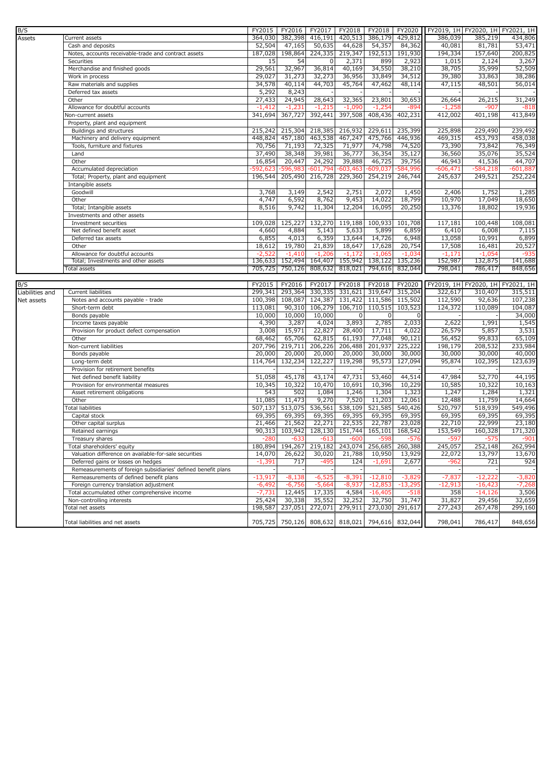| B/S                    |                                                                       | FY2015             | FY2016            | FY2017            | FY2018                          | FY2018            | FY2020              |            | FY2019, 1H FY2020, 1H FY2021, 1H            |                                        |
|------------------------|-----------------------------------------------------------------------|--------------------|-------------------|-------------------|---------------------------------|-------------------|---------------------|------------|---------------------------------------------|----------------------------------------|
| <b>Assets</b>          | Current assets                                                        | 364,030            | 382,398           | 416,191           | 420,513                         | 386,179           | 429,812             | 386,039    | 385,219                                     | 434,806                                |
|                        | Cash and deposits                                                     | 52,504             | 47,165            | 50,635            | 44,628                          | 54,357            | 84,362              | 40,081     | 81,781                                      | 53,471                                 |
|                        | Notes, accounts receivable-trade and contract assets                  | 187,028            | 198,864           | 224,335           | 219,347                         | 192,513           | 191,930             | 194,334    | 157,640                                     | 200,825                                |
|                        | Securities                                                            | 15                 | 54                | $\mathbf 0$       | 2,371                           | 899               | 2,923               | 1,015      | 2,124                                       | 3,267                                  |
|                        | Merchandise and finished goods                                        | 29,561             | 32,967            | 36,814            | 40,169                          | 34,550            | 38,210              | 38,705     | 35,999                                      | 52,509                                 |
|                        | Work in process                                                       | 29,027             | 31,273            | 32,273            | 36,956                          | 33,849            | 34,512              | 39,380     | 33,863                                      | 38,286                                 |
|                        | Raw materials and supplies                                            | 34,578             | 40,114            | 44,703            | 45,764                          | 47,462            | 48,114              | 47,115     | 48,501                                      | 56,014                                 |
|                        | Deferred tax assets                                                   | 5,292              | 8,243             |                   |                                 |                   |                     |            |                                             |                                        |
|                        | Other                                                                 | 27,433             | 24,945            | 28,643            | 32,365                          | 23,801            | 30,653              | 26,664     | 26,215                                      | 31,249                                 |
|                        | Allowance for doubtful accounts                                       | $-1,412$           | $-1,231$          | $-1,215$          | $-1,090$                        | $-1,254$          | -89،                | $-1,258$   | -907                                        | $-818$                                 |
|                        | Non-current assets                                                    | 341,694            | 367,727           | 392,441           | 397,508                         | 408,436           | 402,231             | 412,002    | 401,198                                     | 413,849                                |
|                        | Property, plant and equipment                                         |                    |                   |                   |                                 |                   |                     |            |                                             |                                        |
|                        | Buildings and structures                                              | 215,242            | 215,304           | 218,385           | 216,932                         | 229,611           | 235,399             | 225,898    | 229,490                                     | 239,492                                |
|                        | Machinery and delivery equipment                                      | 448,824            | 457,180           | 463,538           | 467,247                         | 475,766           | 446,936             | 469,315    | 453,793                                     | 458,038                                |
|                        | Tools, furniture and fixtures                                         | 70,756             | 71,193            | 72,325            | 71,977                          | 74,798            | 74,520              | 73,390     | 73,842                                      | 76,349                                 |
|                        | Land                                                                  | 37,490             | 38,348            | 39,981            | 36,777                          | 36,354            | 35,127              | 36,560     | 35,076                                      | 35,524                                 |
|                        | Other                                                                 | 16,854             | 20,447            | 24,292            | 39,888                          | 46,725            | 39,756              | 46,943     | 41,536                                      | 44,707                                 |
|                        | Accumulated depreciation                                              | 592,623            | 596,983           | $-601,794$        | $-603,463$                      | $-609,037$        | $-584,996$          | $-606,471$ | $-584,218$                                  | $-601,887$                             |
|                        | Total; Property, plant and equipment                                  | 196,544            | 205,490           |                   | 216,728 229,360                 | 254,219           | 246,744             | 245,637    | 249,521                                     | 252,224                                |
|                        | Intangible assets                                                     |                    |                   |                   |                                 |                   |                     |            |                                             |                                        |
|                        | Goodwill                                                              | 3,768              | 3,149             | 2,542             | 2,751                           | 2,072             | 1,450               | 2,406      | 1,752                                       | 1,285                                  |
|                        | Other                                                                 | 4,747              | 6,592             | 8,762             | 9,453                           | 14,022            | 18,799              | 10,970     | 17,049                                      | 18,650                                 |
|                        | Total; Intangible assets                                              | 8,516              | 9,742             | 11,304            | 12,204                          | 16,095            | 20,250              | 13,376     | 18,802                                      | 19,936                                 |
|                        | Investments and other assets                                          |                    |                   |                   |                                 |                   |                     |            |                                             |                                        |
|                        | Investment securities                                                 | 109,028            | 125,227           | 132,270           | 119,188                         | 100,933           | 101,708             | 117,181    | 100,448                                     | 108,081                                |
|                        | Net defined benefit asset                                             | 4,660              | 4,884             | 5,143             | 5,633                           | 5,899             | 6,859               | 6,410      | 6,008                                       | 7,115                                  |
|                        | Deferred tax assets                                                   | 6,855              | 4,013             | 6,359             | 13,644                          | 14,726            | 6,948               | 13,058     | 10,991                                      | 6,899                                  |
|                        | Other                                                                 | 18,612             | 19,780            | 21,839            | 18,647                          | 17,628            | 20,754              | 17,508     | 16,481                                      | 20,527                                 |
|                        | Allowance for doubtful accounts                                       | $-2,522$           | $-1,410$          | $-1,206$          | $-1,172$                        | $-1,065$          | $-1,034$            | $-1,171$   | $-1,054$                                    | $-935$                                 |
|                        | Total; Investments and other assets                                   | 136,633            | 152,494           | 164,407           | 155,942                         | 138,122           | 135,236             | 152,987    | 132,875                                     | 141,688                                |
|                        | Total assets                                                          | 705,725            | 750,126           | 808,632           | 818,021                         | 794,616           | 832,044             | 798,041    | 786,417                                     | 848,656                                |
|                        |                                                                       |                    |                   |                   |                                 |                   |                     |            |                                             |                                        |
|                        |                                                                       |                    |                   |                   |                                 |                   |                     |            |                                             |                                        |
|                        |                                                                       |                    |                   |                   |                                 |                   |                     |            |                                             |                                        |
| B/S<br>Liabilities and | Current liabilities                                                   | FY2015<br>299,341  | FY2016<br>293,364 | FY2017<br>330,335 | FY2018                          | FY2018<br>319,647 | FY2020<br>315,204   | 322,617    | FY2019, 1H FY2020, 1H FY2021, 1H<br>310,407 | 315,511                                |
|                        |                                                                       |                    |                   |                   | 331,621                         |                   |                     |            |                                             |                                        |
| Net assets             | Notes and accounts payable - trade                                    | 100,398<br>113,081 | 108,087           | 124,387           | 131,422                         | 111,586           | 115,502             | 112,590    | 92,636                                      | 107,238                                |
|                        | Short-term debt<br>Bonds payable                                      | 10,000             | 90,310<br>10,000  | 106,279           | 106,710<br>0                    | 110,515<br>0      | 103,523<br>$\Omega$ | 124,372    | 110,089                                     | 104,087                                |
|                        | Income taxes payable                                                  | 4,390              | 3,287             | 10,000<br>4,024   | 3,893                           |                   |                     | 2,622      | 1,991                                       | 34,000                                 |
|                        | Provision for product defect compensation                             | 3,008              | 15,971            | 22,827            |                                 | 2,785<br>17,711   | 2,033<br>4,022      | 26,579     | 5,857                                       | 1,545<br>3,531                         |
|                        | Other                                                                 |                    |                   |                   | 28,400                          |                   |                     |            |                                             |                                        |
|                        |                                                                       | 68,462             | 65,706            | 62,815            | 61,193                          | 77,048            | 90,121              | 56,452     | 99,833                                      |                                        |
|                        | Non-current liabilities                                               | 207,796            | 219,711           | 206,226           | 206,488                         | 201,937           | 225,222             | 198,179    | 208,532                                     |                                        |
|                        | Bonds payable                                                         | 20,000             | 20,000            | 20,000            | 20,000                          | 30,000            | 30,000              | 30,000     | 30,000                                      |                                        |
|                        | Long-term debt                                                        | 114,764            | 132,234           | 122,227           | 119,298                         | 95,573            | 127,094             | 95,874     | 102,395                                     | 65,109<br>233,984<br>40,000<br>123,639 |
|                        | Provision for retirement benefits                                     |                    |                   |                   |                                 |                   |                     |            |                                             |                                        |
|                        | Net defined benefit liability<br>Provision for environmental measures | 51,058             | 45,178<br>10,322  | 43,174            | 47,731                          | 53,460            | 44,514              | 47,984     | 52,770                                      | 44,195                                 |
|                        |                                                                       | 10,345             |                   | 10,470            | 10,691                          | 10,396            | 10,229              | 10,585     | 10,322                                      | 10,163                                 |
|                        | Asset retirement obligations                                          | 543                | 502               | 1,084             | 1,246                           | 1,304             | 1,323               | 1,247      | 1,284                                       | 1,321                                  |
|                        | Other                                                                 | 11,085             | 11,473            | 9,270             | 7,520                           | 11,203            | 12,061              | 12,488     | 11,759                                      | 14,664                                 |
|                        | <b>Total liabilities</b>                                              | 507,137            | 513,075           | 536,561           | 538,109                         | 521,585           | 540,426             | 520,797    | 518,939                                     | 549,496                                |
|                        | Capital stock                                                         | 69,395             | 69,395            | 69,395            | 69,395                          | 69,395            | 69,395              | 69,395     | 69,395                                      | 69,395                                 |
|                        | Other capital surplus                                                 | 21,466             | 21,562            | 22,271            | 22,535                          | 22,787            | 23,028              | 22,710     | 22,999                                      | 23,180                                 |
|                        | Retained earnings                                                     | 90,313             | 103,942           | 128,130           | 151,744                         | 165,101           | 168,542             | 153,549    | 160,328                                     | 171,320                                |
|                        | Treasury shares                                                       | $-280$             | $-633$            | $-613$            | $-600$                          | $-598$            | $-576$              | $-597$     | $-575$                                      | $-901$                                 |
|                        | Total shareholders' equity                                            |                    |                   |                   | 180,894 194,267 219,182 243,074 |                   | 256,685 260,388     | 245,057    | 252,148                                     | 262,994                                |
|                        | Valuation difference on available-for-sale securities                 | 14,070             | 26,622            | 30,020            | 21,788                          | 10,950            | 13,929              | 22,072     | 13,797                                      |                                        |
|                        | Deferred gains or losses on hedges                                    | $-1,391$           | 717               | -495              | 124                             | $-1,691$          | 2,677               | -962       | 721                                         |                                        |
|                        | Remeasurements of foreign subsidiaries' defined benefit plans         |                    |                   |                   |                                 |                   |                     |            |                                             |                                        |
|                        | Remeasurements of defined benefit plans                               | $-13,917$          | $-8,138$          | $-6,525$          | $-8,391$                        | $-12,810$         | $-3,829$            | $-7,837$   | $-12,222$                                   |                                        |
|                        | Foreign currency translation adjustment                               | $-6,492$           | $-6,756$          | $-5,664$          | $-8,937$                        | $-12,853$         | $-13,295$           | $-12,913$  | $-16,423$                                   | $-7,268$                               |
|                        | Total accumulated other comprehensive income                          | $-7,731$           | 12,445            | 17,335            | 4,584                           | $-16,405$         | -51                 | 358        | $-14,126$                                   | 13,670<br>924<br>$-3,820$<br>3,506     |
|                        | Non-controlling interests<br>Total net assets                         | 25,424             | 30,338            | 35,552            | 32,252                          | 32,750            | 31,747              | 31,827     | 29,456                                      | 32,659                                 |
|                        |                                                                       | 198,587            | 237,051           | 272,071           | 279,911                         | 273,030           | 291,617             | 277,243    | 267,478                                     | 299,160                                |